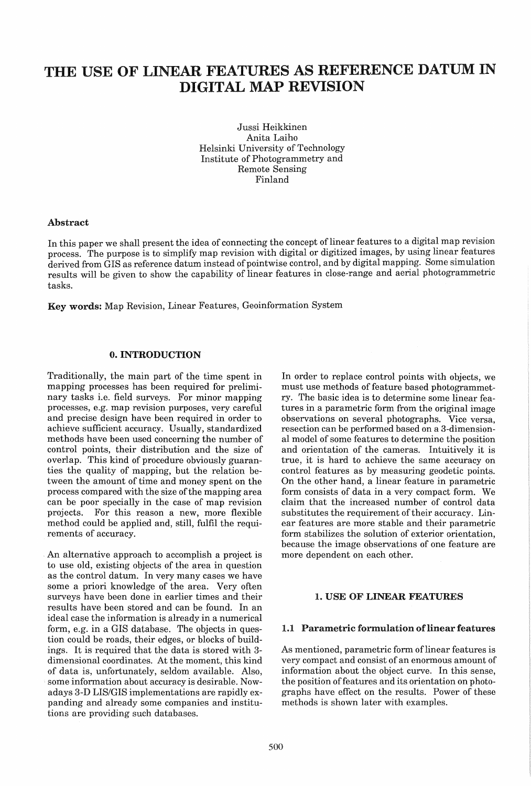# THE USE OF LINEAR FEATURES AS REFERENCE DATUM IN DIGITAL MAP REVISION

Jussi Heikkinen Anita Laiho Helsinki University of Technology Institute of Photogrammetry and Remote Sensing Finland

#### Abstract

In this paper we shall present the idea of connecting the concept of linear features to a digital map revision process. The purpose is to simplify map revision with digital or digitized images, by using linear features derived from GIS as reference datum instead of pointwise control, and by digital mapping. Some simulation results will be given to show the capability of linear features in close-range and aerial photogrammetric tasks.

Key words: Map Revision, Linear Features, Geoinformation System

# o. INTRODUCTION

Traditionally, the main part of the time spent in mapping processes has been required for preliminary tasks i.e. field surveys. For minor mapping processes, e.g. map revision purposes, very careful and precise design have been required in order to achieve sufficient accuracy. Usually, standardized methods have been used concerning the number of control points, their distribution and the size of overlap. This kind of procedure obviously guaranties the quality of mapping, but the relation between the amount of time and money spent on the process compared with the size of the mapping area can be poor specially in the case of map revision projects. For this reason a new, more flexible method could be applied and, still, fulfil the requirements of accuracy.

. An alternative approach to accomplish a project is to use old, existing objects of the area in question as the control datum. In very many cases we have some a priori knowledge of the area. Very often surveys have been done in earlier times and their results have been stored and can be found. In an ideal case the information is already in a numerical form, e.g. in a GIS database. The objects in question could be roads, their edges, or blocks of buildings. It is required that the data is stored with 3 dimensional coordinates. At the moment, this kind of data is, unfortunately, seldom available. Also, some information about accuracy is desirable. Nowadays 3-D LIS/GIS implementations are rapidly expanding and already some companies and institutions are providing such databases.

In order to replace control points with objects, we must use methods of feature based photogrammetry. The basic idea is to determine some linear features in a parametric form from the original image observations on several photographs. Vice versa, resection can be performed based on a 3-dimensional model of some features to determine the position and orientation of the cameras. Intuitively it is true, it is hard to achieve the same accuracy on control features as by measuring geodetic points. On the other hand, a linear feature in parametric form consists of data in a very compact form. We claim that the increased number of control data substitutes the requirement of their accuracy. Linear features are more stable and their parametric form stabilizes the solution of exterior orientation, because the image observations of one feature are more dependent on each other.

#### 1. USE OF LINEAR FEATURES

#### 1.1 Parametric formulation of linear features

As mentioned, parametric form of linear features is very compact and consist of an enormous amount of information about the object curve. In this sense, the position of features and its orientation on photographs have effect on the results. Power of these methods is shown later with examples.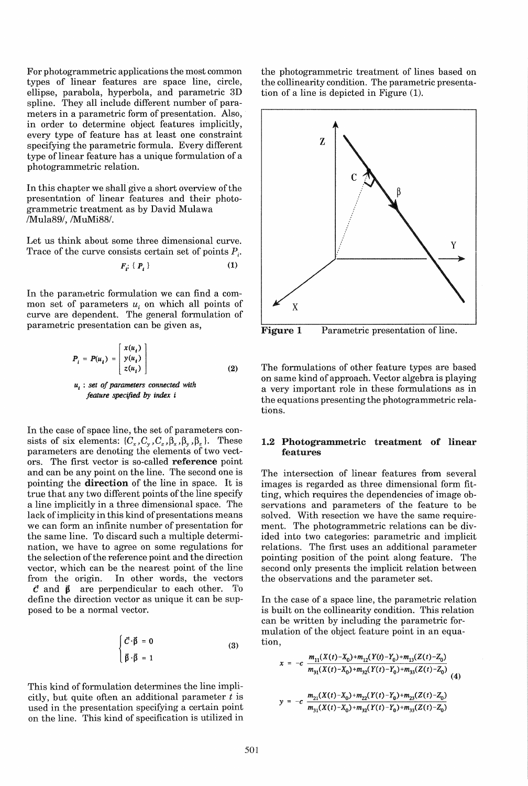For photogrammetric applications the most common types of linear features are space line, circle, ellipse, parabola, hyperbola, and parametric 3D spline. They all include different number of parameters in a parametric form of presentation. Also, in order to determine object features implicitly, every type of feature has at least one constraint specifying the parametric formula. Every different type of linear feature has a unique formulation of a photogrammetric relation.

In this chapter we shall give a short overview of the presentation of linear features and their photogrammetric treatment as by David Mulawa /Mula89/, /MuMi88/.

Let us think about some three dimensional curve. Trace of the curve consists certain set of points  $P_i$ .

$$
F_i: \{P_i\} \tag{1}
$$

In the parametric formulation we can find a common set of parameters  $u_i$  on which all points of curve are dependent. The general formulation of parametric presentation can be given as,

$$
P_i = P(u_i) = \begin{bmatrix} x(u_i) \\ y(u_i) \\ z(u_i) \end{bmatrix}
$$
 (2)

<sup>U</sup>*t* : *set of parameters connected with feature specified* by *index* i

In the case of space line, the set of parameters consists of six elements:  $\{C_x, C_y, C_z, \beta_x, \beta_y, \beta_z\}$ . These parameters are denoting the elements of two vectors. The first vector is so-called reference point and can be any point on the line. The second one is pointing the direction of the line in space. It is true that any two different points of the line specify a line implicitly in a three dimensional space. The lack of implicity in this kind of presentations means we can form an infinite number of presentation for the same line. To discard such a multiple determination, we have to agree on some regulations for the selection of the reference point and the direction vector, which can be the nearest point of the line from the origin. In other words, the vectors  $\vec{c}$  and  $\vec{\beta}$  are perpendicular to each other. To define the direction vector as unique it can be supposed to be a normal vector.

$$
\begin{cases}\n\vec{C}\cdot\vec{\beta} = 0\\ \n\vec{\beta}\cdot\vec{\beta} = 1\n\end{cases}
$$
\n(3)

This kind of formulation determines the line implicitly, but quite often an additional parameter *t* is used in the presentation specifying a certain point on the line. This kind of specification is utilized in the photogrammetric treatment of lines based on the collinearity condition. The parametric presentation of a line is depicted in Figure (1).



Figure 1 Parametric presentation of line.

The formulations of other feature types are based on same kind of approach. Vector algebra is playing a very important role in these formulations as in the equations presenting the photogrammetric relations.

#### 1.2 Photogrammetric treatment of linear features

The intersection of linear features from several images is regarded as three dimensional form fitting, which requires the dependencies of image observations and parameters of the feature to be solved. With resection we have the same requirement. The photogrammetric relations can be divided into two categories: parametric and implicit relations. The first uses an additional parameter pointing position of the point along feature. The second only presents the implicit relation between the observations and the parameter set.

In the case of a space line, the parametric relation is built on the collinearity condition. This relation can be written by including the parametric formulation of the object feature point in an equation,

$$
x = -c \frac{m_{11}(X(t) - X_0) + m_{12}(Y(t) - Y_0) + m_{13}(Z(t) - Z_0)}{m_{31}(X(t) - X_0) + m_{32}(Y(t) - Y_0) + m_{33}(Z(t) - Z_0)}
$$
\n
$$
y = -c \frac{m_{21}(X(t) - X_0) + m_{22}(Y(t) - Y_0) + m_{23}(Z(t) - Z_0)}{m_{21}(X(t) - X_0) + m_{22}(Y(t) - Y_0) + m_{23}(Z(t) - Z_0)}
$$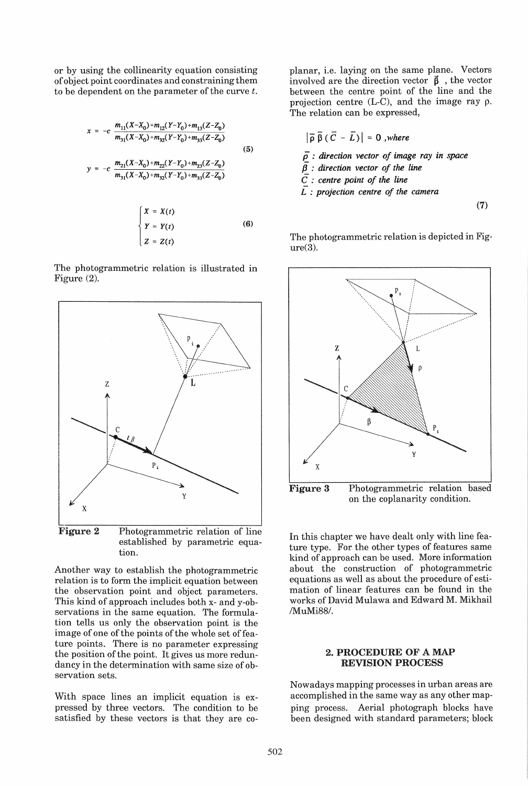or by using the collinearity equation consisting of object point coordinates and constraining them to be dependent on the parameter of the curve *t.* 

$$
x = -c \frac{m_{11}(X - X_0) + m_{12}(Y - Y_0) + m_{13}(Z - Z_0)}{m_{31}(X - X_0) + m_{32}(Y - Y_0) + m_{33}(Z - Z_0)}
$$
(5)  

$$
y = -c \frac{m_{21}(X - X_0) + m_{22}(Y - Y_0) + m_{23}(Z - Z_0)}{m_{31}(X - X_0) + m_{32}(Y - Y_0) + m_{33}(Z - Z_0)}
$$
  

$$
\left\{ X = X(t) \right\}
$$

$$
Y = Y(t) \tag{6}
$$
  

$$
Z = Z(t)
$$

The photogrammetric relation is illustrated in Figure (2).



Figure 2 Photogrammetric relation of line established by parametric equation.

Another way to establish the photogrammetric relation is to form the implicit equation between the observation point and object parameters. This kind of approach includes both x- and y-observations in the same equation. The formulation tells us only the observation point is the image of one of the points of the whole set of feature points. There is no parameter expressing the position of the point. It gives us more redundancy in the determination with same size of observation sets.

With space lines an implicit equation is expressed by three vectors. The condition to be satisfied by these vectors is that they are coplanar, i.e. laying on the same plane. Vectors involved are the direction vector  $\vec{\beta}$ , the vector between the centre point of the line and the projection centre (L-C), and the image ray p. The relation can be expressed,

$$
|\overline{\rho} \overline{\beta} (\overline{C} - \overline{L})| = 0
$$
, where  
 $\overline{\rho}$ : direction vector of image ray in space  
 $\overline{\beta}$ : direction vector of the line

centre point of the line

*L* : *projection centre of the camera* 

(7)

The photogrammetric relation is depicted in Figure(3).



In this chapter we have dealt only with line feature type. For the other types of features same kind of approach can be used. More information about the construction of photogrammetric equations as well as about the procedure of estimation of linear features can be found in the works of David Mulawa and Edward M. Mikhail /MuMi88/.

#### 2. PROCEDURE OF A MAP REVISION PROCESS

Nowadays mapping processes in urban areas are accomplished in the same way as any other mapping process. Aerial photograph blocks have been designed with standard parameters; block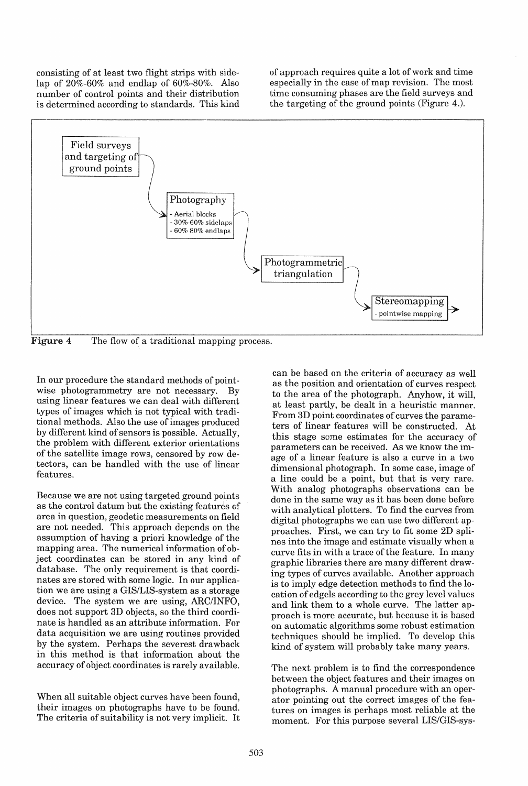consisting of at least two flight strips with sidelap of 20%-60% and endlap of 60%-80%. Also number of control points and their distribution is determined according to standards. This kind

of approach requires quite a lot of work and time especially in the case of map revision. The most time consuming phases are the field surveys and the targeting of the ground points (Figure 4.).



**Figure 4** The flow of a traditional mapping process.

In our procedure the standard methods of pointwise photogrammetry are not necessary. By using linear features we can deal with different types of images which is not typical with traditional methods. Also the use of images produced by different kind of sensors is possible. Actually, the problem with different exterior orientations of the satellite image rows, censored by row detectors, can be handled with the use of linear features.

Because we are not using targeted ground points as the control datum but the existing features of area in question, geodetic measurements on field are not needed. This approach depends on the assumption of having a priori knowledge of the mapping area. The numerical information of object coordinates can be stored in any kind of database. The only requirement is that coordinates are stored with some logic. In our application we are using a GIS/LIS-system as a storage device. The system we are using, ARC/INFO, does not support 3D objects, so the third coordinate is handled as an attribute information. For data acquisition we are using routines provided by the system. Perhaps the severest drawback in this method is that information about the accuracy of object coordinates is rarely available.

When all suitable object curves have been found, their images on photographs have to be found. The criteria of suitability is not very implicit. It

can be based on the criteria of accuracy as well as the position and orientation of curves respect to the area of the photograph. Anyhow, it will, at least partly, be dealt in a heuristic manner. From 3D point coordinates of curves the parameters of linear features will be constructed. At this stage some estimates for the accuracy of parameters can be received. As we know the image of a linear feature is also a curve in a two dimensional photograph. In some case, image of a line could be a point, but that is very rare. With analog photographs observations can be done in the same way as it has been done before with analytical plotters. To find the curves from digital photographs we can use two different approaches. First, we can try to fit some 2D splines into the image and estimate visually when a curve fits in with a trace of the feature. In many graphic libraries there are many different drawing types of curves available. Another approach is to imply edge detection methods to find the location of edgels according to the grey level values and link them to a whole curve. The latter approach is more accurate, but because it is based on automatic algorithms some robust estimation techniques should be implied. To develop this kind of system will probably take many years.

The next problem is to find the correspondence between the object features and their images on photographs. A manual procedure with an operator pointing out the correct images of the features on images is perhaps most reliable at the moment. For this purpose several LIS/GIS-sys-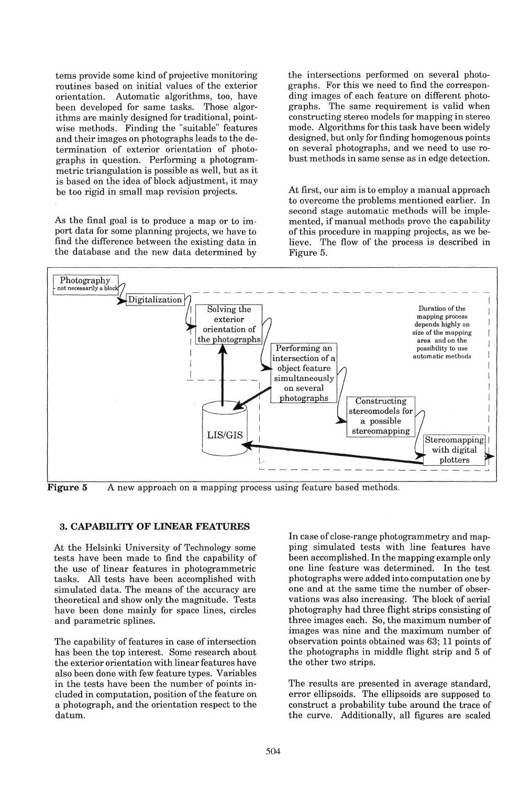tems provide some kind of projective monitoring routines based on initial values of the exterior orientation. Automatic algorithms, too, have been developed for same tasks. Those algorithms are mainly designed for traditional, pointwise methods. Finding the "suitable" features and their images on photographs leads to the determination of exterior orientation of photographs in question. Performing a photogrammetric triangulation is possible as well, but as it is based on the idea of block adjustment, it may be too rigid in small map revision projects.

As the final goal is to produce a map or to import data for some planning projects, we have to find the difference between the existing data in the database and the new data determined by the intersections performed on several photographs. For this we need to find the corresponding images of each feature on different photographs. The same requirement is valid when constructing stereo models for mapping in stereo mode. Algorithms for this task have been widely designed, but only for finding homogenous points on several photographs, and we need to use robust methods in same sense as in edge detection.

At first, our aim is to employ a manual approach to overcome the problems mentioned earlier. In second stage automatic methods will be implemented, if manual methods prove the capability of this procedure in mapping projects, as we believe. The flow of the process is described in Figure 5.



Figure 5 A new approach on a mapping process using feature based methods.

# 3. CAPABILITY OF LINEAR FEATURES

At the Helsinki University of Technology some tests have been made to find the capability of the use of linear features in photogrammetric tasks. All tests have been accomplished with simulated data. The means of the accuracy are theoretical and show only the magnitude. Tests have been done mainly for space lines, circles and parametric splines.

The capability of features in case of intersection has been the top interest. Some research about the exterior orientation with linear features have also been done with few feature types. Variables in the tests have been the number of points included in computation, position of the feature on a photograph, and the orientation respect to the datum.

In case of close-range photogrammetry and mapping simulated tests with line features have been accomplished. In the mapping example only one line feature was determined. In the test photographs were added into computation one by one and at the same time the number of observations was also increasing. The block of aerial photography had three flight strips consisting of three images each. So, the maximum number of images was nine and the maximum number of observation points obtained was 63; 11 points of the photographs in middle flight strip and 5 of the other two strips.

The results are presented in average standard, error ellipsoids. The ellipsoids are supposed to construct a probability tube around the trace of the curve. Additionally, all figures are scaled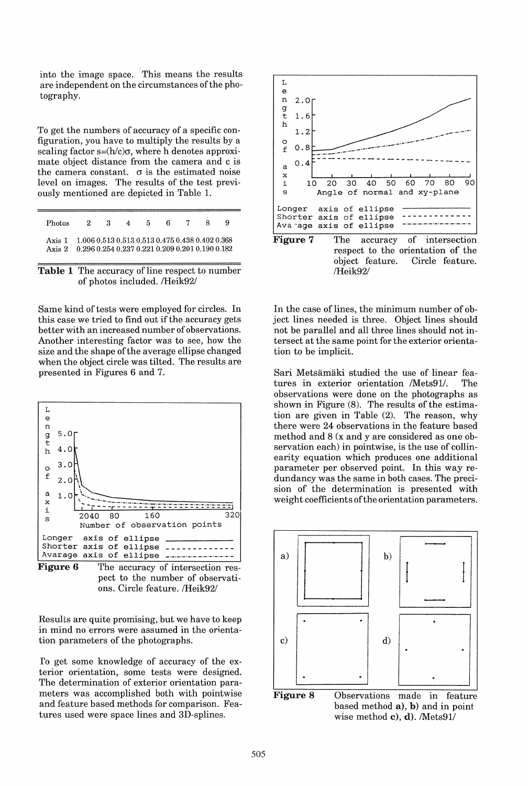into the image space. This means the results are independent on the circumstances of the photography.

To get the numbers of accuracy of a specific configuration, you have to multiply the results by a scaling factor  $s=(h/c)\sigma$ , where h denotes approximate object distance from the camera and c is the camera constant.  $\sigma$  is the estimated noise level on images. The results of the test previ-0usly mentioned are depicted in Table 1.

| Photos                                                                                                           | 2 3 | 4 5 | 678 |  |
|------------------------------------------------------------------------------------------------------------------|-----|-----|-----|--|
| Axis 1 1.006 0.513 0.513 0.513 0.475 0.438 0.402 0.368<br>Axis 2 0.296 0.254 0.237 0.221 0.209 0.201 0.190 0.182 |     |     |     |  |



Same kind of tests were employed for circles. In this case we tried to find out if the accuracy gets better with an increased number of observations. Another interesting factor was to see, how the size and the shape of the average ellipse changed when the object circle was tilted. The results are presented in Figures 6 and 7.



Figure 6 The accuracy of intersection respect to the number of observations. Circle feature. /Heik92/

Results are quite promising, but we have to keep in mind no 'errors were assumed in the orientation parameters of the photographs.

To get some knowledge of accuracy of the exterior orientation, some tests were designed. The determination of exterior orientation parameters was accomplished both with pointwise and feature based methods for comparison. Features used were space lines and 3D-splines.



In the case of lines, the minimum number of object lines needed is three. Object lines should not be parallel and all three lines should not intersect at the same point for the exterior orientation to be implicit.

Sari Metsamaki studied the use of linear features in exterior orientation /Mets91/. The observations were done on the photographs as shown in Figure (8). The results of the estimation are given in Table (2). The reason, why there were 24 observations in the feature based method and 8 (x and y are considered as one observation each) in pointwise, is the use of collinearity equation which produces one additional parameter per observed point. In this way redundancy was the same in both cases. The precision of the determination is presented with weight coefficients of the orientation parameters.